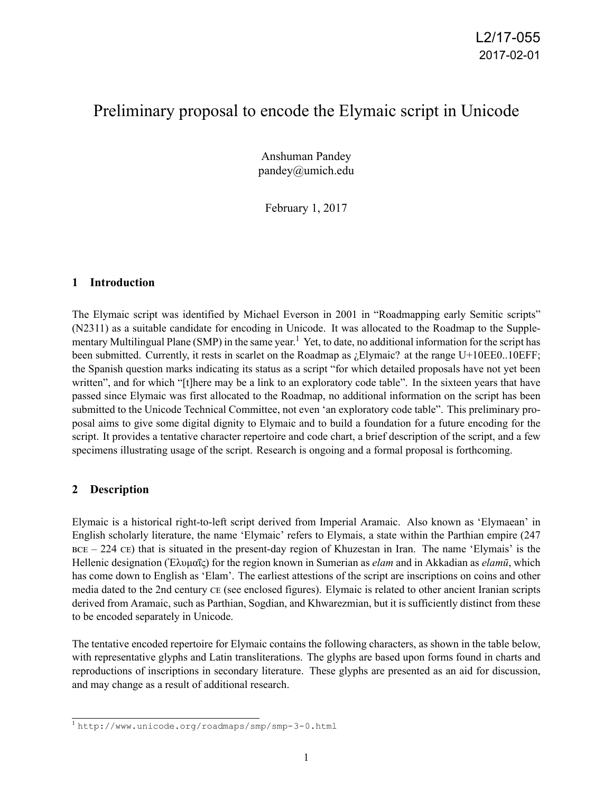## Preliminary proposal to encode the Elymaic script in Unicode

Anshuman Pandey pandey@umich.edu

February 1, 2017

#### **1 Introduction**

The Elymaic script was identified by Michael Everson in 2001 in "Roadmapping early Semitic scripts" (N2311) as a suitable candidate for encoding in Unicode. It was allocated to the Roadmap to the Supplementary Multilingual Plane (SMP) in the same year.<sup>1</sup> Yet, to date, no additional information for the script has been submitted. Currently, it rests in scarlet on the Roadmap as ¿Elymaic? at the range U+10EE0..10EFF; the Spanish question marks indicating its status as a script "for which detailed proposals have not yet been written", and for which "[t]here may be a link to an exploratory code table". In the sixteen years that have passed since Elymaic was first allocated to the Roadmap, no additional information on the script has been submitted to the Unicode Technical Committee, not even 'an exploratory code table". This preliminary proposal aims to give some digital dignity to Elymaic and to build a foundation for a future encoding for the script. It provides a tentative character repertoire and code chart, a brief description of the script, and a few specimens illustrating usage of the script. Research is ongoing and a formal proposal is forthcoming.

### **2 Description**

Elymaic is a historical right-to-left script derived from Imperial Aramaic. Also known as 'Elymaean' in English scholarly literature, the name 'Elymaic' refers to Elymais, a state within the Parthian empire (247  $BCE - 224 CE$ ) that is situated in the present-day region of Khuzestan in Iran. The name 'Elymais' is the Hellenic designation (Ἐλυμαΐς) for the region known in Sumerian as *elam* and in Akkadian as *elamū*, which has come down to English as 'Elam'. The earliest attestions of the script are inscriptions on coins and other media dated to the 2nd century CE (see enclosed figures). Elymaic is related to other ancient Iranian scripts derived from Aramaic, such as Parthian, Sogdian, and Khwarezmian, but it is sufficiently distinct from these to be encoded separately in Unicode.

The tentative encoded repertoire for Elymaic contains the following characters, as shown in the table below, with representative glyphs and Latin transliterations. The glyphs are based upon forms found in charts and reproductions of inscriptions in secondary literature. These glyphs are presented as an aid for discussion, and may change as a result of additional research.

<sup>1</sup> http://www.unicode.org/roadmaps/smp/smp-3-0.html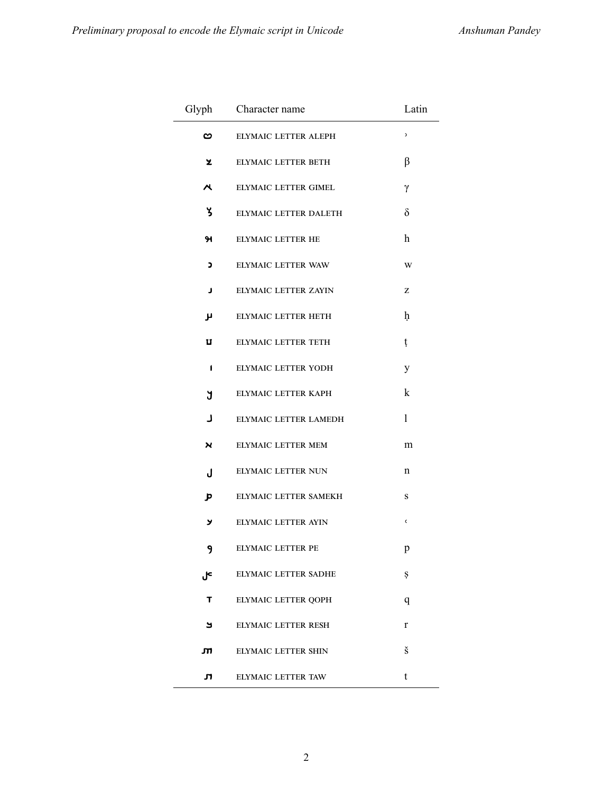|                                 | Glyph Character name       | Latin |  |  |
|---------------------------------|----------------------------|-------|--|--|
| ဗ                               | ELYMAIC LETTER ALEPH       | C     |  |  |
| z                               | ELYMAIC LETTER BETH        | β     |  |  |
| $\boldsymbol{\mathsf{\lambda}}$ | ELYMAIC LETTER GIMEL       | γ     |  |  |
| ሄ                               | ELYMAIC LETTER DALETH      | δ     |  |  |
| ж                               | ELYMAIC LETTER HE          | h     |  |  |
| C                               | ELYMAIC LETTER WAW         | W     |  |  |
| J                               | ELYMAIC LETTER ZAYIN       | z     |  |  |
| μ                               | ELYMAIC LETTER HETH        | ħ     |  |  |
| U                               | <b>ELYMAIC LETTER TETH</b> | ţ     |  |  |
| 1                               | ELYMAIC LETTER YODH        | y     |  |  |
| ្ស                              | ELYMAIC LETTER KAPH        | k     |  |  |
| L                               | ELYMAIC LETTER LAMEDH      | 1     |  |  |
| <b>X</b>                        | ELYMAIC LETTER MEM         | m     |  |  |
| J                               | ELYMAIC LETTER NUN         | n     |  |  |
| Þ                               | ELYMAIC LETTER SAMEKH      | S     |  |  |
| צ                               | ELYMAIC LETTER AYIN        | C     |  |  |
| 9                               | ELYMAIC LETTER PE          | p     |  |  |
| J۴                              | ELYMAIC LETTER SADHE       | Ş     |  |  |
| т                               | ELYMAIC LETTER QOPH        | q     |  |  |
| ک                               | ELYMAIC LETTER RESH        | r     |  |  |
| лı                              | ELYMAIC LETTER SHIN        | š     |  |  |
| л                               | ELYMAIC LETTER TAW         | t     |  |  |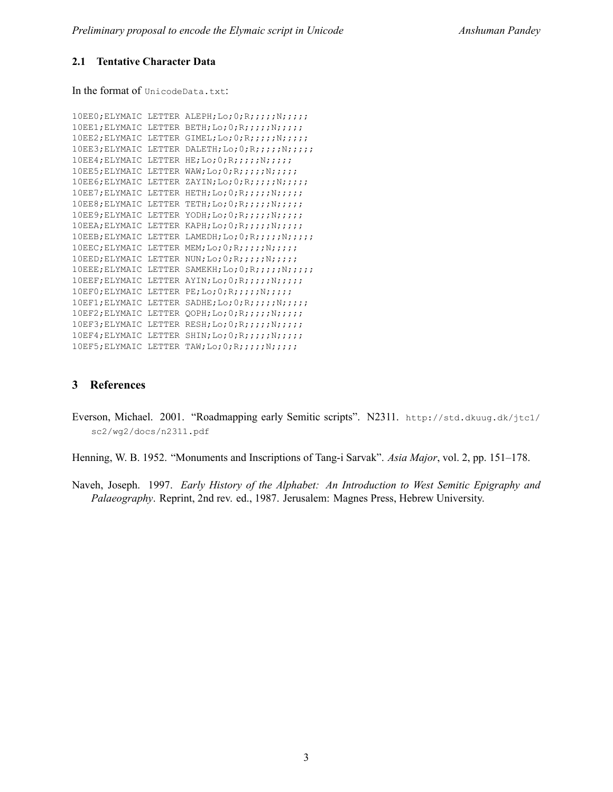#### **2.1 Tentative Character Data**

In the format of UnicodeData.txt:

```
10EE0; ELYMAIC LETTER ALEPH; Lo; 0; R;;;;; N;;;;;;
10EE1;ELYMAIC LETTER BETH;Lo;0;R;;;;;N;;;;;
10EE2;ELYMAIC LETTER GIMEL;Lo;0;R;;;;;N;;;;;
10EE3;ELYMAIC LETTER DALETH;Lo;0;R;;;;;N;;;;;
10EE4;ELYMAIC LETTER HE;Lo;0;R;;;;;N;;;;;
10EE5;ELYMAIC LETTER WAW;Lo;0;R;;;;;N;;;;;
10EE6; ELYMAIC LETTER ZAYIN; Lo; 0; R;;;;; N;;;;;;
10EE7;ELYMAIC LETTER HETH;Lo;0;R;;;;;N;;;;;
10EE8;ELYMAIC LETTER TETH;Lo;0;R;;;;;N;;;;;
10EE9; ELYMAIC LETTER YODH; Lo; 0; R;;;;;N;;;;;;
10EEA;ELYMAIC LETTER KAPH;Lo;0;R;;;;;N;;;;;
10EEB; ELYMAIC LETTER LAMEDH; Lo; 0; R;;;;; N;;;;;;
10EEC;ELYMAIC LETTER MEM; Lo; 0; R;;;;; N;;;;;
10EED;ELYMAIC LETTER NUN;Lo;0;R;;;;;N;;;;;
10EEE;ELYMAIC LETTER SAMEKH;Lo;0;R;;;;;N;;;;;
10EEF;ELYMAIC LETTER AYIN;Lo;0;R;;;;;N;;;;;
10EF0;ELYMAIC LETTER PE;Lo;0;R;;;;;N;;;;;
10EF1;ELYMAIC LETTER SADHE;Lo;0;R;;;;;N;;;;;
10EF2;ELYMAIC LETTER QOPH;Lo;0;R;;;;;N;;;;;
10EF3;ELYMAIC LETTER RESH;Lo;0;R;;;;;N;;;;;
10EF4;ELYMAIC LETTER SHIN;Lo;O;R;;;;;;;;;;;
10EF5;ELYMAIC LETTER TAW;Lo;0;R;;;;;N;;;;;
```
#### **3 References**

Everson, Michael. 2001. "Roadmapping early Semitic scripts". N2311. http://std.dkuug.dk/jtc1/ sc2/wg2/docs/n2311.pdf

Henning, W. B. 1952. "Monuments and Inscriptions of Tang-i Sarvak". *Asia Major*, vol. 2, pp. 151–178.

Naveh, Joseph. 1997. *Early History of the Alphabet: An Introduction to West Semitic Epigraphy and Palaeography*. Reprint, 2nd rev. ed., 1987. Jerusalem: Magnes Press, Hebrew University.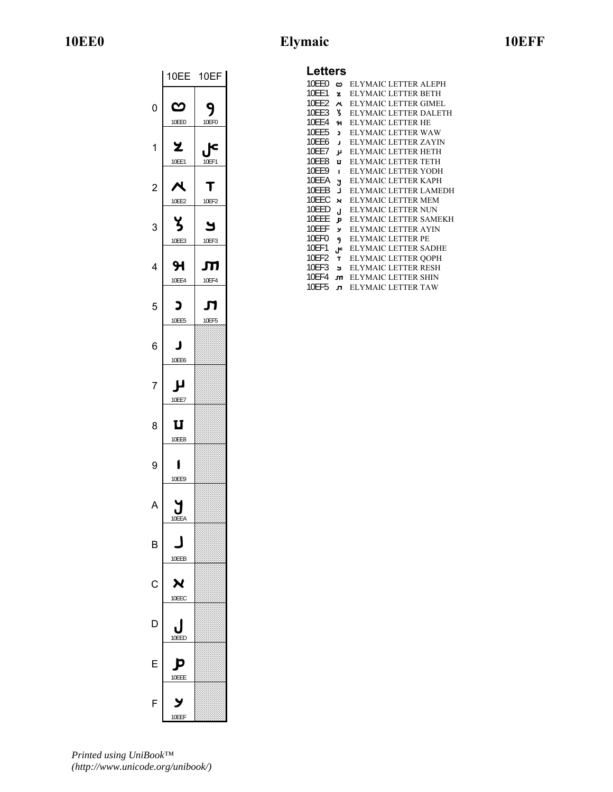# **10EE0 Elymaic 10EFF**

|                | 10EE       | 10EF       |  |  |  |
|----------------|------------|------------|--|--|--|
| 0              | ఌ<br>10EE0 | 10EF0      |  |  |  |
| 1              | z<br>10EE1 | с<br>10EF1 |  |  |  |
| $\overline{c}$ | ч<br>10EE2 | 10EF2      |  |  |  |
| 3              | 10EE3      | ٢<br>10EF3 |  |  |  |
| 4              | я<br>10EE4 | П<br>10EF4 |  |  |  |
| 5              | כ<br>10EE5 | Ш<br>10EF5 |  |  |  |
| 6              | п<br>10EE6 |            |  |  |  |
| 7              | 10EE7      |            |  |  |  |
| 8              | ប<br>10EE8 |            |  |  |  |
| 9              | 10EE9      |            |  |  |  |
|                | 10FFA      |            |  |  |  |
| B              | 10EEB      |            |  |  |  |
| C              | X<br>10EEC |            |  |  |  |
| D              | 10EED      |            |  |  |  |
| F              | נ<br>10EEE |            |  |  |  |
| F              | 10EEF      |            |  |  |  |

## **Letters**

| 10FF0 |                | <b>ELYMAIC LETTER ALEPH</b> |
|-------|----------------|-----------------------------|
|       | ∞              |                             |
| 10EE1 | ž              | <b>ELYMAIC LETTER BETH</b>  |
| 10FF2 | $\lambda$      | ELYMAIC LETTER GIMEL        |
| 10FF3 | ሄ              | ELYMAIC LETTER DALETH       |
| 10EE4 | 91             | <b>ELYMAIC LETTER HE</b>    |
| 10EE5 | $\overline{ }$ | ELYMAIC LETTER WAW          |
| 10FF6 | J              | ELYMAIC LETTER ZAYIN        |
| 10EE7 | μ              | <b>ELYMAIC LETTER HETH</b>  |
| 10FF8 | U              | ELYMAIC LETTER TETH         |
| 10FF9 | ï              | ELYMAIC LETTER YODH         |
| 10EEA | N.             | ELYMAIC LETTER KAPH         |
| 10EEB | $\blacksquare$ | ELYMAIC LETTER LAMEDH       |
| 10FFC | $\mathbf{v}$   | ELYMAIC LETTER MEM          |
| 10EED | J.             | <b>ELYMAIC LETTER NUN</b>   |
| 10EEE | Þ              | ELYMAIC LETTER SAMEKH       |
| 10FFF | У              | ELYMAIC LETTER AYIN         |
| 10EF0 | 9              | <b>ELYMAIC LETTER PE</b>    |
| 10EF1 | P٠,            | ELYMAIC LETTER SADHE        |
| 10FF2 | $\mathbf{T}$   | <b>ELYMAIC LETTER QOPH</b>  |
| 10EF3 | Ч              | <b>ELYMAIC LETTER RESH</b>  |
| 10EF4 | m              | ELYMAIC LETTER SHIN         |
| 10FF5 | л              | ELYMAIC LETTER TAW          |

*Printed using UniBook™ (http://www.unicode.org/unibook/)*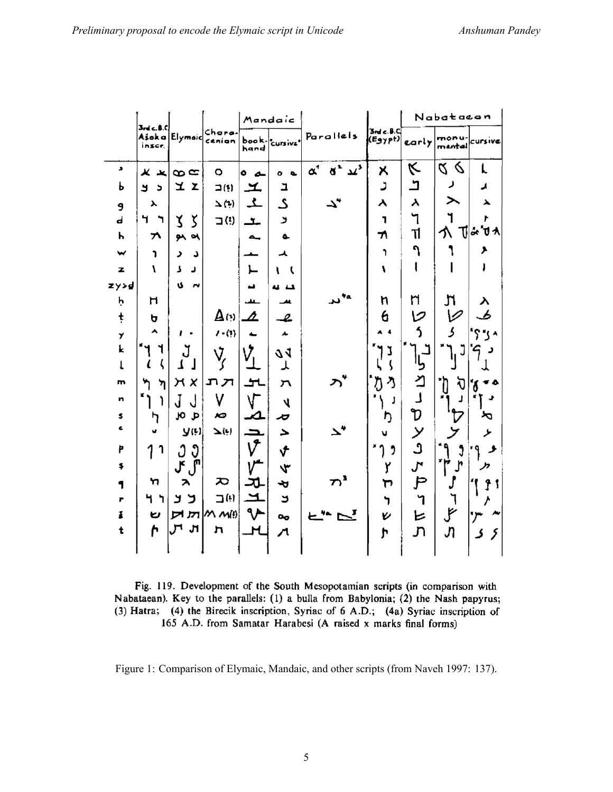|      |                              |                                   |                         |                          | Mandaic        |                                          |                              | Nabatacan |                 |         |
|------|------------------------------|-----------------------------------|-------------------------|--------------------------|----------------|------------------------------------------|------------------------------|-----------|-----------------|---------|
|      | 3rdc, 8.0<br>inscr.          | Ašoka Elymoic                     | Chara.<br>cenian        | hand                     | book-cursiva*  | Parallels                                | 3ndc.8C<br>(Egypt)           | carly     | monu<br>mental  | cursive |
| ٠    | Ж<br>$\overline{\mathbf{x}}$ | $\infty$                          | $\circ$                 | ۰<br>ے                   | ۰<br>$\bullet$ | $q^2 \mu^3$<br>$\alpha^*$                | Χ                            | K         | 6<br>Z.         | L       |
| Ь    | لا<br>$\overline{ }$         | ユエ                                | $\square$ (!)           | エ                        | Ľ              |                                          | ر                            | ٹ         | ر               | ◢       |
| 9    | $\blacktriangleright$        |                                   | $\Delta$ (2)            | ع                        | ى              |                                          | Y                            | $\lambda$ | ⋋               | ⋋       |
| d    | Ч<br>ר                       | Z.<br>5                           | $\Box$                  | حف                       | لا             |                                          | ٦                            | ٦         | ٦               | ,       |
| Ь    | ヵ                            | $94$ $94$                         |                         | $\overline{\phantom{a}}$ | $\bullet$      |                                          | 71                           | Tĺ        | 个               | T ∻'J⊀  |
| w    | ٦                            | ر<br>د                            |                         |                          | ᄉ              |                                          | ٦                            | ٩         |                 | ۶       |
| z    | V                            | 7<br>ر                            |                         | ٢                        | ⊾<br>ι         |                                          | 1                            |           |                 |         |
| zy>d |                              | U<br>٣Ý                           |                         | د                        | u 11           |                                          |                              |           |                 |         |
| ķ    | н                            |                                   |                         | حفف                      |                | 4α<br>ىد                                 | n                            | n         | اڑ              | у       |
| ţ    | ь                            |                                   | $\Delta$ (*) $\Delta$   |                          | l              |                                          | 6                            | v         | V               | s       |
| Y    | ^                            | $\bullet$                         | $1 - (1)$               | 4.                       | مە             |                                          | $\overline{\mathbf{4}}$<br>A | 5         | ړ               | ۰، ز"؟  |
| k    | ٦                            | J                                 | Ý,                      |                          | 71             |                                          | J                            |           | J               | 9<br>ر  |
| t    | ζ<br>ι                       | J<br>Ţ                            |                         |                          | ᆺ              |                                          |                              | با        |                 |         |
| m    | ካ<br>ካ                       | X<br>Η                            | תת                      | ᅿ                        | ハ              |                                          | Ŋ<br>ላ                       | ⊻         | 订<br><b>ٔ (</b> | ď       |
| n    | '۱<br>١                      | J<br>J                            | ٧                       | ۷                        | 4              |                                          | J                            | J         | J               | ٠       |
| \$   | ካ                            | α<br>J                            | Ю                       | ⊿                        | ゃ              |                                          | ŋ                            | D         |                 | ぺ       |
| Ł    | v                            | y(t)                              | $\mathbf{\Sigma}^{(1)}$ | $\overline{\phantom{0}}$ | 2              |                                          | л                            | У         |                 | ۶       |
| p    | 7<br>1                       | Ĵ<br>Ĵ                            |                         | V                        | √              |                                          | ,                            | Ĵ         | Ĵ               | و       |
| \$   |                              | J۴<br>$\int_0^{\hat{\mathbf{n}}}$ |                         |                          | 4              |                                          | Y                            | ىر        | Ĵ               | יי      |
| 1    | n                            | $\lambda$                         | ᅍ                       | স                        | D              | $\boldsymbol{\pi}^{\boldsymbol{\imath}}$ | רן                           | ط         |                 | J 1     |
| г    | 4<br>ካ                       | ב<br>لا                           | $\exists^{(i)}$         | ᅼ                        | ک              |                                          | ነ                            | ኀ         | ٦               |         |
| š    | U                            | π                                 | M M(0)                  | ∿∿                       | $\mathbf{o}_0$ | $\overline{\phantom{a}}$                 | V                            | ヒ         | ょ               | ייני    |
| t    | ŕ                            | 'n                                | 'n                      | H                        | л              |                                          | h                            | ፓነ        | Jì              | ک<br>5  |
|      |                              |                                   |                         |                          |                |                                          |                              |           |                 |         |

Fig. 119. Development of the South Mesopotamian scripts (in comparison with Nabataean). Key to the parallels: (1) a bulla from Babylonia; (2) the Nash papyrus; (3) Hatra; (4) the Birecik inscription, Syriac of 6 A.D.; (4a) Syriac inscription of 165 A.D. from Samatar Harabesi (A raised x marks final forms)

Figure 1: Comparison of Elymaic, Mandaic, and other scripts (from Naveh 1997: 137).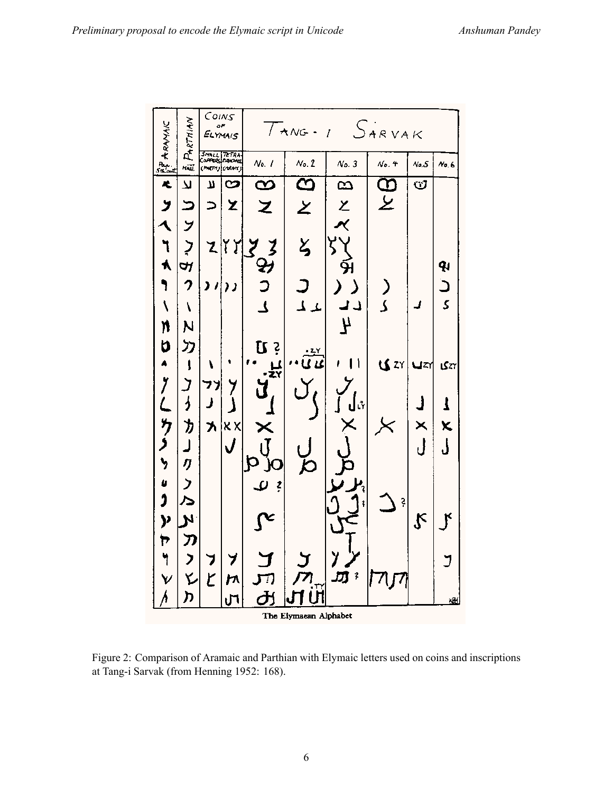

Figure 2: Comparison of Aramaic and Parthian with Elymaic letters used on coins and inscriptions at Tang-i Sarvak (from Henning 1952: 168).